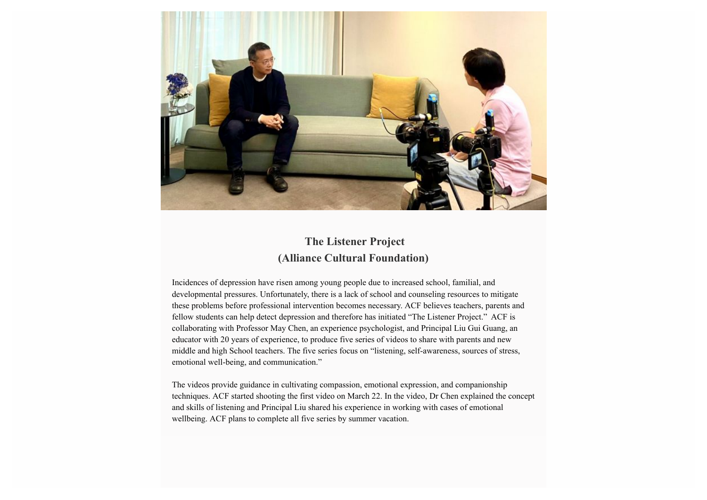

## **The Listener Project (Alliance Cultural Foundation)**

Incidences of depression have risen among young people due to increased school, familial, and developmental pressures. Unfortunately, there is a lack of school and counseling resources to mitigate these problems before professional intervention becomes necessary. ACF believes teachers, parents and fellow students can help detect depression and therefore has initiated "The Listener Project." ACF is collaborating with Professor May Chen, an experience psychologist, and Principal Liu Gui Guang, an educator with 20 years of experience, to produce five series of videos to share with parents and new middle and high School teachers. The five series focus on "listening, self-awareness, sources of stress, emotional well-being, and communication."

The videos provide guidance in cultivating compassion, emotional expression, and companionship techniques. ACF started shooting the first video on March 22. In the video, Dr Chen explained the concept and skills of listening and Principal Liu shared his experience in working with cases of emotional wellbeing. ACF plans to complete all five series by summer vacation.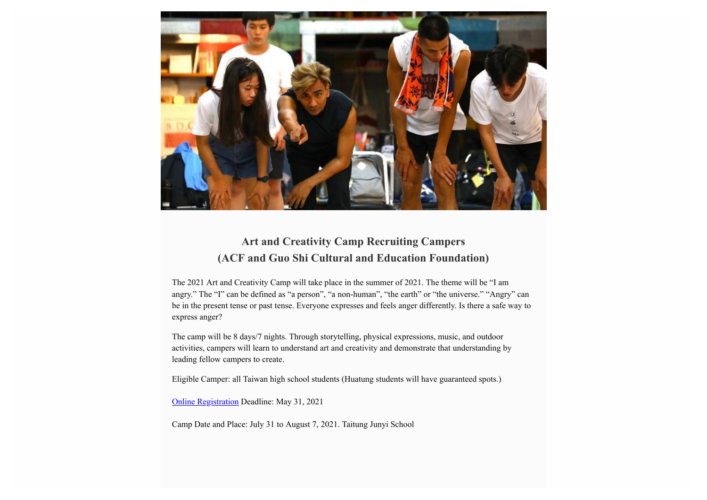

## **Art and Creativity Camp Recruiting Campers (ACF and Guo Shi Cultural and Education Foundation)**

The 2021 Art and Creativity Camp will take place in the summer of 2021. The theme will be "I am angry." The "I" can be defined as "a person", "a non-human", "the earth" or "the universe." "Angry" can be in the present tense or past tense. Everyone expresses and feels anger differently. Is there a safe way to express anger?

The camp will be 8 days/7 nights. Through storytelling, physical expressions, music, and outdoor activities, campers will learn to understand art and creativity and demonstrate that understanding by leading fellow campers to create.

Eligible Camper: all Taiwan high school students (Huatung students will have guaranteed spots.)

[Online Registration](https://reurl.cc/WEy0a7) Deadline: May 31, 2021

Camp Date and Place: July 31 to August 7, 2021. Taitung Junyi School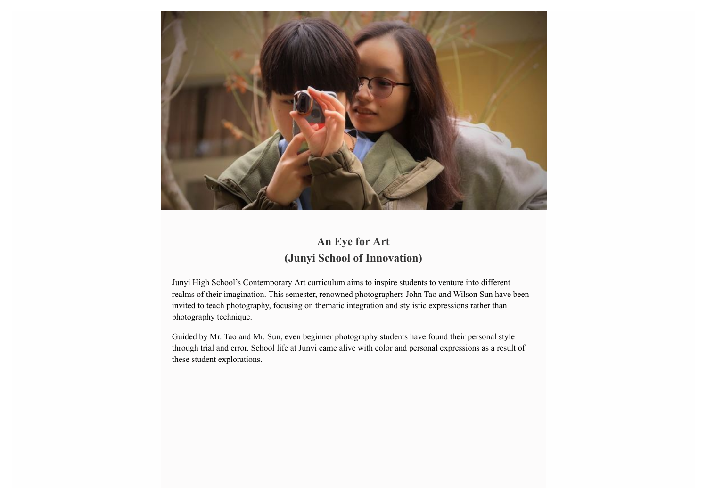

## **An Eye for Art (Junyi School of Innovation)**

Junyi High School's Contemporary Art curriculum aims to inspire students to venture into different realms of their imagination. This semester, renowned photographers John Tao and Wilson Sun have been invited to teach photography, focusing on thematic integration and stylistic expressions rather than photography technique.

Guided by Mr. Tao and Mr. Sun, even beginner photography students have found their personal style through trial and error. School life at Junyi came alive with color and personal expressions as a result of these student explorations.